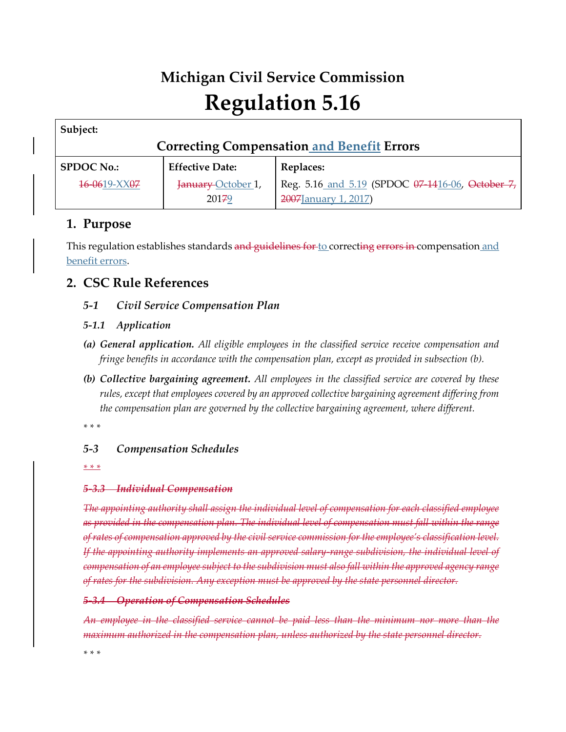# **Michigan Civil Service Commission Regulation 5.16**

| Subject:                                          |                        |                                                  |
|---------------------------------------------------|------------------------|--------------------------------------------------|
| <b>Correcting Compensation and Benefit Errors</b> |                        |                                                  |
| <b>SPDOC No.:</b>                                 | <b>Effective Date:</b> | <b>Replaces:</b>                                 |
| 16-0619-XX07                                      | January October 1,     | Reg. 5.16 and 5.19 (SPDOC 07-1416-06, October 7, |
|                                                   | 20179                  | 2007 January 1, 2017)                            |

# **1. Purpose**

This regulation establishes standards and guidelines for to correcting errors in compensation and benefit errors.

# **2. CSC Rule References**

*5-1 Civil Service Compensation Plan*

# *5-1.1 Application*

- *(a) General application. All eligible employees in the classified service receive compensation and fringe benefits in accordance with the compensation plan, except as provided in subsection (b).*
- *(b) Collective bargaining agreement. All employees in the classified service are covered by these rules, except that employees covered by an approved collective bargaining agreement differing from the compensation plan are governed by the collective bargaining agreement, where different.*

*\* \* \** 

# *5-3 Compensation Schedules*

*\* \* \** 

#### *5-3.3 Individual Compensation*

*The appointing authority shall assign the individual level of compensation for each classified employee as provided in the compensation plan. The individual level of compensation must fall within the range of rates of compensation approved by the civil service commission for the employee's classification level. If the appointing authority implements an approved salary-range subdivision, the individual level of compensation of an employee subject to the subdivision must also fall within the approved agency range of rates for the subdivision. Any exception must be approved by the state personnel director.*

#### *5-3.4 Operation of Compensation Schedules*

*An employee in the classified service cannot be paid less than the minimum nor more than the maximum authorized in the compensation plan, unless authorized by the state personnel director.*

*\* \* \**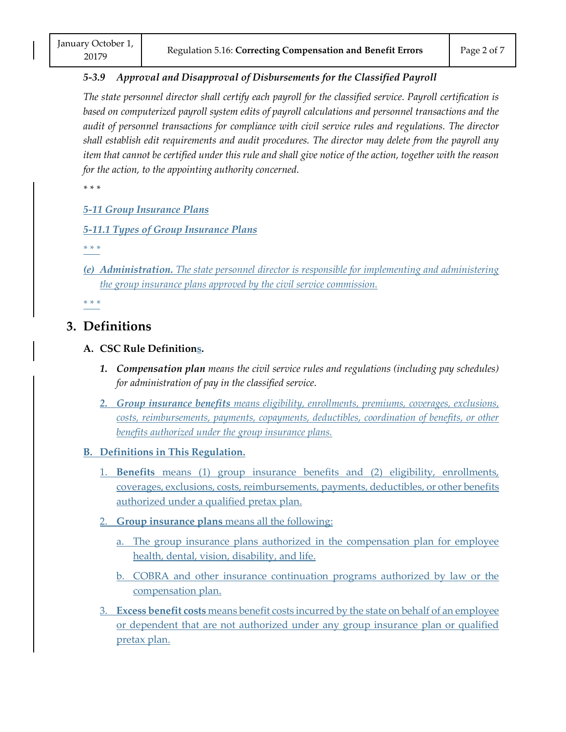# *5-3.9 Approval and Disapproval of Disbursements for the Classified Payroll* January October 1,<br>
20179 Regulation 5.16: Correcting Compensation and Benefit Errors Page 2 of 7<br>
5-3.9 Approval and Disapproval of Disbursements for the Classified Pauroll

*The state personnel director shall certify each payroll for the classified service. Payroll certification is based on computerized payroll system edits of payroll calculations and personnel transactions and the audit of personnel transactions for compliance with civil service rules and regulations. The director shall establish edit requirements and audit procedures. The director may delete from the payroll any item that cannot be certified under this rule and shall give notice of the action, together with the reason for the action, to the appointing authority concerned.*

*\* \* \** 

*5-11 Group Insurance Plans*

*5-11.1 Types of Group Insurance Plans*

*\* \* \**

*(e) Administration. The state personnel director is responsible for implementing and administering the group insurance plans approved by the civil service commission.*

*\* \* \**

# **3. Definitions**

#### **A. CSC Rule Definitions.**

- *1. Compensation plan means the civil service rules and regulations (including pay schedules) for administration of pay in the classified service.*
- *2. Group insurance benefits means eligibility, enrollments, premiums, coverages, exclusions, costs, reimbursements, payments, copayments, deductibles, coordination of benefits, or other benefits authorized under the group insurance plans.*

#### **B. Definitions in This Regulation.**

- 1. **Benefits** means (1) group insurance benefits and (2) eligibility, enrollments, coverages, exclusions, costs, reimbursements, payments, deductibles, or other benefits authorized under a qualified pretax plan.
- 2. **Group insurance plans** means all the following:
	- a. The group insurance plans authorized in the compensation plan for employee health, dental, vision, disability, and life.
	- b. COBRA and other insurance continuation programs authorized by law or the compensation plan.
- 3. **Excess benefit costs** means benefit costs incurred by the state on behalf of an employee or dependent that are not authorized under any group insurance plan or qualified pretax plan.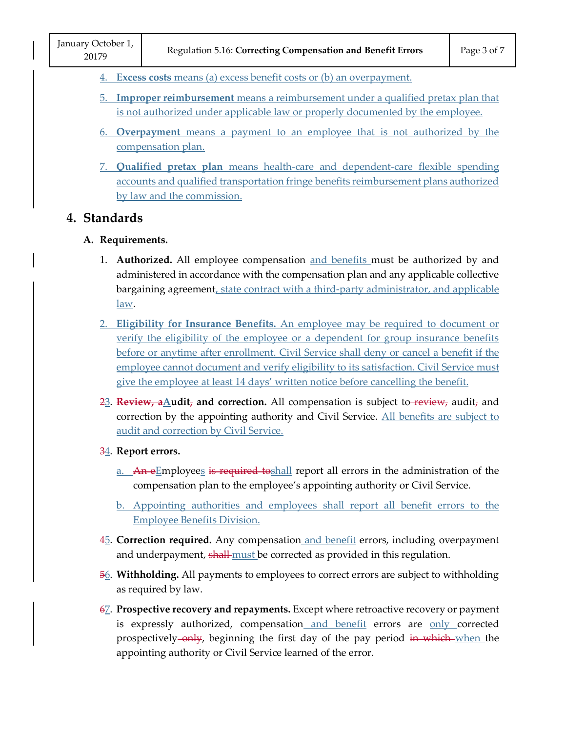- 4. **Excess costs** means (a) excess benefit costs or (b) an overpayment.
- 5. **Improper reimbursement** means a reimbursement under a qualified pretax plan that is not authorized under applicable law or properly documented by the employee.
- 6. **Overpayment** means a payment to an employee that is not authorized by the compensation plan.
- 7. **Qualified pretax plan** means health-care and dependent-care flexible spending accounts and qualified transportation fringe benefits reimbursement plans authorized by law and the commission.

### **4. Standards**

#### **A. Requirements.**

- 1. **Authorized.** All employee compensation and benefits must be authorized by and administered in accordance with the compensation plan and any applicable collective bargaining agreement, state contract with a third-party administrator, and applicable law.
- 2. **Eligibility for Insurance Benefits.** An employee may be required to document or verify the eligibility of the employee or a dependent for group insurance benefits before or anytime after enrollment. Civil Service shall deny or cancel a benefit if the employee cannot document and verify eligibility to its satisfaction. Civil Service must give the employee at least 14 days' written notice before cancelling the benefit. verify the<br>before or a<br>employee<br>give the en<br>23. **Review, a**<br>correction
- 23. **Review, aAudit, and correction.** All compensation is subject to review, audit, and correction by the appointing authority and Civil Service. All benefits are subject to audit and correction by Civil Service. <u>3</u>. <del>Keview, a</del><u>/</u>
- 34. **Report errors.**
	- a. An eEmployees is required toshall report all errors in the administration of the compensation plan to the employee's appointing authority or Civil Service.
	- b. Appointing authorities and employees shall report all benefit errors to the Employee Benefits Division.
- 45. **Correction required.** Any compensation and benefit errors, including overpayment and underpayment, shall-must be corrected as provided in this regulation.
- 56. **Withholding.** All payments to employees to correct errors are subject to withholding as required by law.
- 67. **Prospective recovery and repayments.** Except where retroactive recovery or payment is expressly authorized, compensation and benefit errors are only corrected prospectively-only, beginning the first day of the pay period in which-when the appointing authority or Civil Service learned of the error.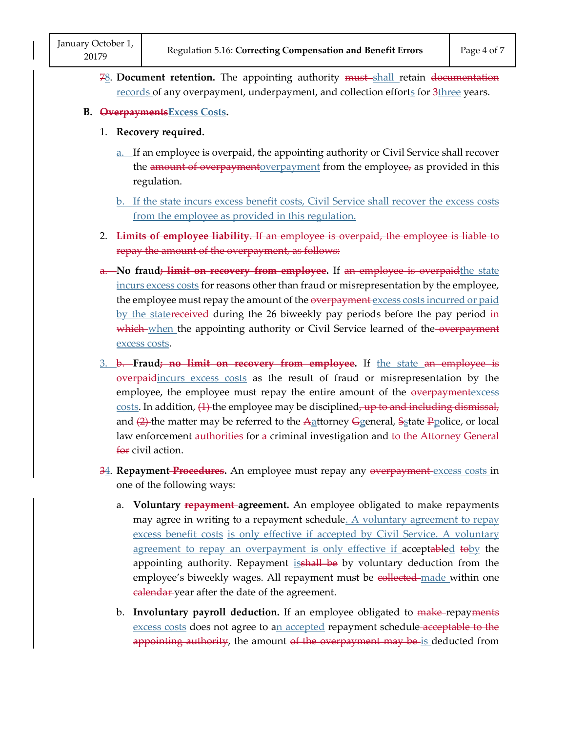78. **Document retention.** The appointing authority must shall retain documentation records of any overpayment, underpayment, and collection efforts for  $3$ three years. January October 1,<br>
20179 Regulation 5.16: Correcting Compensation and Benefit Errors Page 4 of 7<br>
28. Document retention. The appointing authority <del>must</del>-shall retain <del>documentation</del>

#### **B. OverpaymentsExcess Costs.**

- 1. **Recovery required.**
	- a. If an employee is overpaid, the appointing authority or Civil Service shall recover the amount of overpayment overpayment from the employee, as provided in this regulation.
	- b. If the state incurs excess benefit costs, Civil Service shall recover the excess costs from the employee as provided in this regulation.
- 2. **Limits of employee liability.** If an employee is overpaid, the employee is liable to repay the amount of the overpayment, as follows:
- a. **No fraud; limit on recovery from employee.** If an employee is overpaidthe state incurs excess costs for reasons other than fraud or misrepresentation by the employee, the employee must repay the amount of the overpayment excess costs incurred or paid by the statereceived during the 26 biweekly pay periods before the pay period in which when the appointing authority or Civil Service learned of the overpayment excess costs.
- 3. b. **Fraud; no limit on recovery from employee.** If the state an employee is overpaidincurs excess costs as the result of fraud or misrepresentation by the employee, the employee must repay the entire amount of the <del>overpayment</del>excess  $costs$ . In addition,  $(1)$  the employee may be disciplined, up to and including dismissal, and  $(2)$ -the matter may be referred to the Aattorney Ggeneral, Sstate Ppolice, or local law enforcement authorities for a criminal investigation and to the Attorney General for civil action.
- 34. **Repayment Procedures.** An employee must repay any overpayment excess costs in one of the following ways:
	- a. **Voluntary repayment agreement.** An employee obligated to make repayments may agree in writing to a repayment schedule. A voluntary agreement to repay excess benefit costs is only effective if accepted by Civil Service. A voluntary agreement to repay an overpayment is only effective if acceptabled toby the appointing authority. Repayment is shall be by voluntary deduction from the employee's biweekly wages. All repayment must be collected made within one ealendar-year after the date of the agreement.
	- b. **Involuntary payroll deduction.** If an employee obligated to make-repayments excess costs does not agree to an accepted repayment schedule-acceptable to the appointing authority, the amount of the overpayment may be is deducted from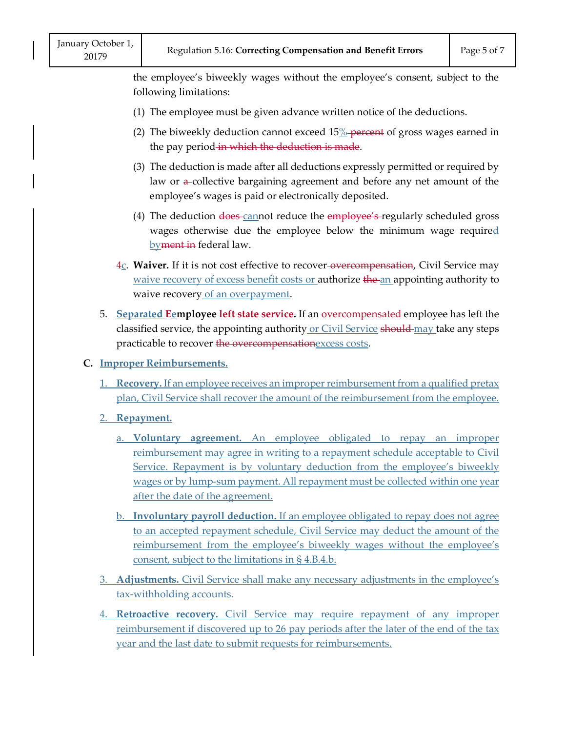the employee's biweekly wages without the employee's consent, subject to the following limitations: January October 1,<br>
20179 Regulation 5.16: Correcting Compensation and Benefit Errors Page 5 of 7<br>
the employee's biweekly wages without the employee's consent, subject to the

- (1) The employee must be given advance written notice of the deductions.
- (2) The biweekly deduction cannot exceed  $15\%$ -percent of gross wages earned in the pay period in which the deduction is made.
- (3) The deduction is made after all deductions expressly permitted or required by law or  $\alpha$ -collective bargaining agreement and before any net amount of the employee's wages is paid or electronically deposited.
- (4) The deduction does cannot reduce the employee's regularly scheduled gross wages otherwise due the employee below the minimum wage required byment in federal law.
- 4c. **Waiver.** If it is not cost effective to recover-overcompensation, Civil Service may waive recovery of excess benefit costs or authorize the an appointing authority to waive recovery of an overpayment.
- 5. **Separated Eemployee left state service.** If an overcompensated employee has left the classified service, the appointing authority or Civil Service should may take any steps practicable to recover the overcompensationexcess costs.
- **C. Improper Reimbursements.**
	- 1. **Recovery.** If an employee receives an improper reimbursement from a qualified pretax plan, Civil Service shall recover the amount of the reimbursement from the employee.
	- 2. **Repayment.**
		- a. **Voluntary agreement.** An employee obligated to repay an improper reimbursement may agree in writing to a repayment schedule acceptable to Civil Service. Repayment is by voluntary deduction from the employee's biweekly wages or by lump-sum payment. All repayment must be collected within one year after the date of the agreement.
		- b. **Involuntary payroll deduction.** If an employee obligated to repay does not agree to an accepted repayment schedule, Civil Service may deduct the amount of the reimbursement from the employee's biweekly wages without the employee's consent, subject to the limitations in § 4.B.4.b.
	- 3. **Adjustments.** Civil Service shall make any necessary adjustments in the employee's tax-withholding accounts.
	- 4. **Retroactive recovery.** Civil Service may require repayment of any improper reimbursement if discovered up to 26 pay periods after the later of the end of the tax year and the last date to submit requests for reimbursements.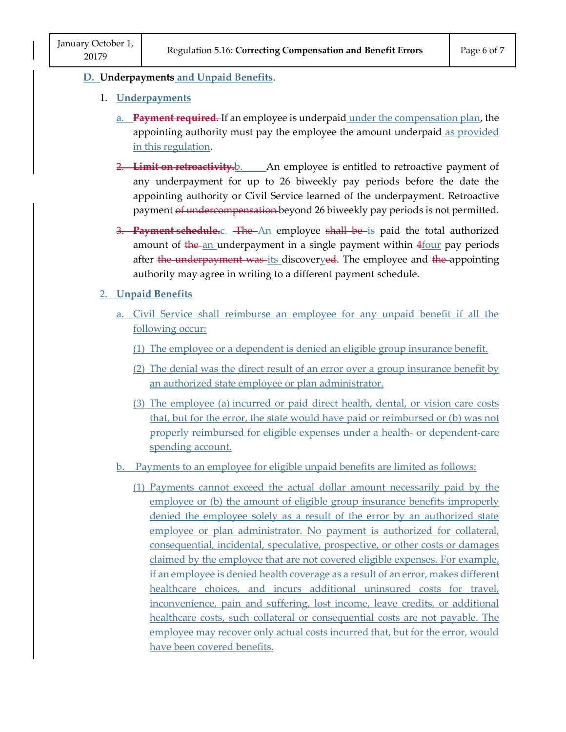#### **D. Underpayments and Unpaid Benefits**.

- 1. **Underpayments**
	- a. **Payment required.** If an employee is underpaid under the compensation plan, the appointing authority must pay the employee the amount underpaid as provided in this regulation.
	- 2. **Limit on retroactivity.**b. An employee is entitled to retroactive payment of any underpayment for up to 26 biweekly pay periods before the date the appointing authority or Civil Service learned of the underpayment. Retroactive payment of undercompensation beyond 26 biweekly pay periods is not permitted.
	- 3. Payment schedule.<sub>C.</sub> The An employee shall be is paid the total authorized amount of the an underpayment in a single payment within 4four pay periods after the underpayment was-its discoveryed. The employee and the appointing authority may agree in writing to a different payment schedule. **Example 15 an employee is entitled to retroativity.**<br>
	Let underpayment for up to 26 biweekly pay periods bef<br>
	inting authority or Civil Service learned of the underpay-<br>
	nent of undercompensation-beyond 26 biweekly pay pe

#### 2. **Unpaid Benefits**

- a. Civil Service shall reimburse an employee for any unpaid benefit if all the following occur:
	- (1) The employee or a dependent is denied an eligible group insurance benefit.
	- (2) The denial was the direct result of an error over a group insurance benefit by an authorized state employee or plan administrator.
	- (3) The employee (a) incurred or paid direct health, dental, or vision care costs that, but for the error, the state would have paid or reimbursed or (b) was not properly reimbursed for eligible expenses under a health- or dependent-care spending account.
- b. Payments to an employee for eligible unpaid benefits are limited as follows:
	- (1) Payments cannot exceed the actual dollar amount necessarily paid by the employee or (b) the amount of eligible group insurance benefits improperly denied the employee solely as a result of the error by an authorized state employee or plan administrator. No payment is authorized for collateral, consequential, incidental, speculative, prospective, or other costs or damages claimed by the employee that are not covered eligible expenses. For example, if an employee is denied health coverage as a result of an error, makes different healthcare choices, and incurs additional uninsured costs for travel, inconvenience, pain and suffering, lost income, leave credits, or additional healthcare costs, such collateral or consequential costs are not payable. The employee may recover only actual costs incurred that, but for the error, would have been covered benefits.